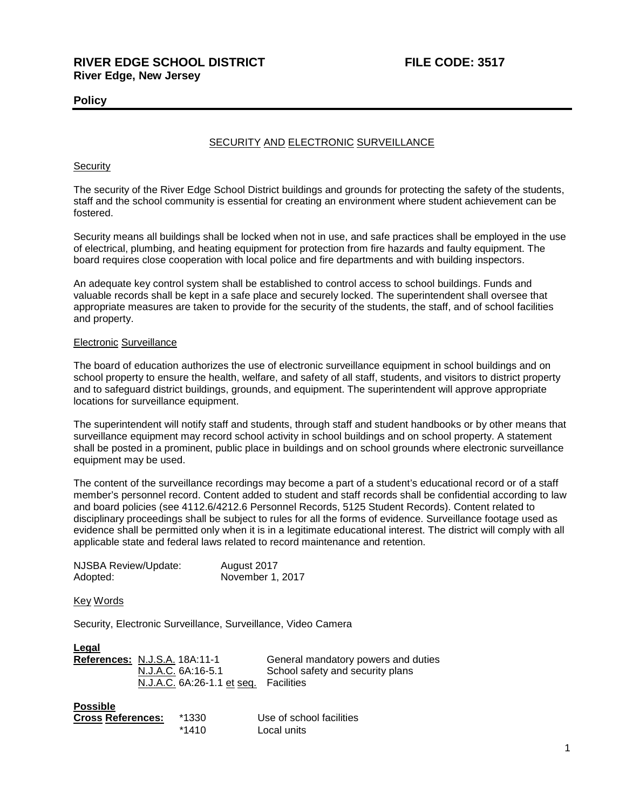## **Policy**

### SECURITY AND ELECTRONIC SURVEILLANCE

#### **Security**

The security of the River Edge School District buildings and grounds for protecting the safety of the students, staff and the school community is essential for creating an environment where student achievement can be fostered.

Security means all buildings shall be locked when not in use, and safe practices shall be employed in the use of electrical, plumbing, and heating equipment for protection from fire hazards and faulty equipment. The board requires close cooperation with local police and fire departments and with building inspectors.

An adequate key control system shall be established to control access to school buildings. Funds and valuable records shall be kept in a safe place and securely locked. The superintendent shall oversee that appropriate measures are taken to provide for the security of the students, the staff, and of school facilities and property.

#### Electronic Surveillance

The board of education authorizes the use of electronic surveillance equipment in school buildings and on school property to ensure the health, welfare, and safety of all staff, students, and visitors to district property and to safeguard district buildings, grounds, and equipment. The superintendent will approve appropriate locations for surveillance equipment.

The superintendent will notify staff and students, through staff and student handbooks or by other means that surveillance equipment may record school activity in school buildings and on school property. A statement shall be posted in a prominent, public place in buildings and on school grounds where electronic surveillance equipment may be used.

The content of the surveillance recordings may become a part of a student's educational record or of a staff member's personnel record. Content added to student and staff records shall be confidential according to law and board policies (see 4112.6/4212.6 Personnel Records, 5125 Student Records). Content related to disciplinary proceedings shall be subject to rules for all the forms of evidence. Surveillance footage used as evidence shall be permitted only when it is in a legitimate educational interest. The district will comply with all applicable state and federal laws related to record maintenance and retention.

| NJSBA Review/Update: | August 2017      |
|----------------------|------------------|
| Adopted:             | November 1, 2017 |

Key Words

Security, Electronic Surveillance, Surveillance, Video Camera

| Legal                                |                            |                                     |
|--------------------------------------|----------------------------|-------------------------------------|
| <b>References: N.J.S.A. 18A:11-1</b> |                            | General mandatory powers and duties |
|                                      | N.J.A.C. 6A:16-5.1         | School safety and security plans    |
|                                      | N.J.A.C. 6A:26-1.1 et seq. | <b>Facilities</b>                   |
| <b>Possible</b>                      |                            |                                     |
| <b>Cross References:</b>             | *1330                      | Use of school facilities            |
|                                      | $*1410$                    | Local units.                        |